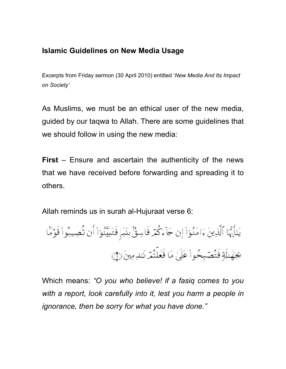## **Islamic Guidelines on New Media Usage**

Excerpts from Friday sermon (30 April 2010) entitled '*New Media And Its Impact on Society'* 

As Muslims, we must be an ethical user of the new media, guided by our taqwa to Allah. There are some guidelines that we should follow in using the new media:

**First** – Ensure and ascertain the authenticity of the news that we have received before forwarding and spreading it to others.

Allah reminds us in surah al-Hujuraat verse 6:

يَتَأَيُّهَا ٱلَّذِينَ ءَامَنُوٓاْ إِن جَآءَكُمۡ فَاسِقٌۢ بِنَبَإٍ فَتَبَيَّنُوٓاْ أَن تُصِيبُواْ قَوۡمَا <u>يجهَ الَةٍ</u> فَتُصْبِحُواْ عَلَىٰ مَا فَعَلْتُمْ نَـٰدِمِينَ (٢)

Which means: *"O you who believe! if a fasiq comes to you*  with a report, look carefully into it, lest you harm a people in *ignorance, then be sorry for what you have done."*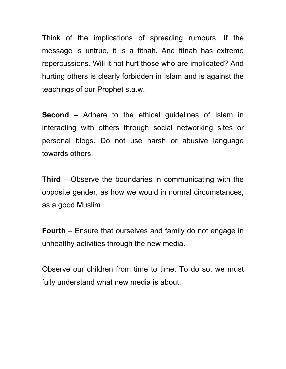Think of the implications of spreading rumours. If the message is untrue, it is a fitnah. And fitnah has extreme repercussions. Will it not hurt those who are implicated? And hurting others is clearly forbidden in Islam and is against the teachings of our Prophet s.a.w.

**Second** – Adhere to the ethical guidelines of Islam in interacting with others through social networking sites or personal blogs. Do not use harsh or abusive language towards others.

**Third** – Observe the boundaries in communicating with the opposite gender, as how we would in normal circumstances, as a good Muslim.

**Fourth** – Ensure that ourselves and family do not engage in unhealthy activities through the new media.

Observe our children from time to time. To do so, we must fully understand what new media is about.